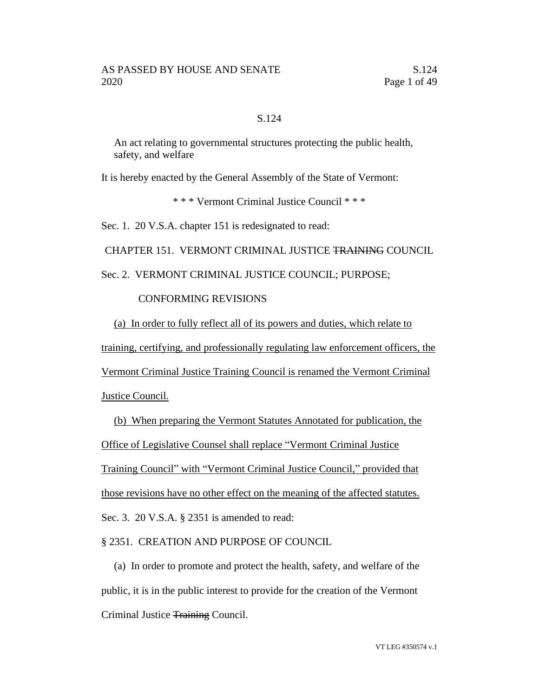#### S.124

An act relating to governmental structures protecting the public health, safety, and welfare

It is hereby enacted by the General Assembly of the State of Vermont:

\* \* \* Vermont Criminal Justice Council \* \* \*

Sec. 1. 20 V.S.A. chapter 151 is redesignated to read:

CHAPTER 151. VERMONT CRIMINAL JUSTICE TRAINING COUNCIL

Sec. 2. VERMONT CRIMINAL JUSTICE COUNCIL; PURPOSE;

#### CONFORMING REVISIONS

(a) In order to fully reflect all of its powers and duties, which relate to training, certifying, and professionally regulating law enforcement officers, the Vermont Criminal Justice Training Council is renamed the Vermont Criminal Justice Council.

(b) When preparing the Vermont Statutes Annotated for publication, the Office of Legislative Counsel shall replace "Vermont Criminal Justice Training Council" with "Vermont Criminal Justice Council," provided that those revisions have no other effect on the meaning of the affected statutes. Sec. 3. 20 V.S.A. § 2351 is amended to read:

§ 2351. CREATION AND PURPOSE OF COUNCIL

(a) In order to promote and protect the health, safety, and welfare of the public, it is in the public interest to provide for the creation of the Vermont Criminal Justice Training Council.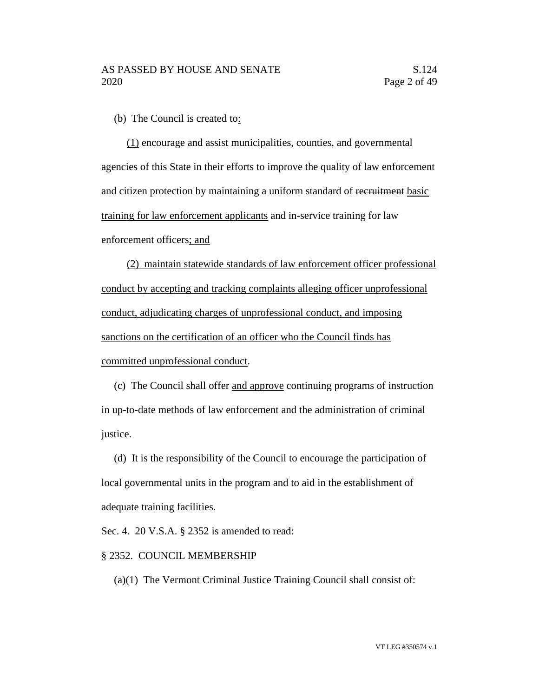(b) The Council is created to:

(1) encourage and assist municipalities, counties, and governmental agencies of this State in their efforts to improve the quality of law enforcement and citizen protection by maintaining a uniform standard of recruitment basic training for law enforcement applicants and in-service training for law enforcement officers; and

(2) maintain statewide standards of law enforcement officer professional conduct by accepting and tracking complaints alleging officer unprofessional conduct, adjudicating charges of unprofessional conduct, and imposing sanctions on the certification of an officer who the Council finds has committed unprofessional conduct.

(c) The Council shall offer and approve continuing programs of instruction in up-to-date methods of law enforcement and the administration of criminal justice.

(d) It is the responsibility of the Council to encourage the participation of local governmental units in the program and to aid in the establishment of adequate training facilities.

Sec. 4. 20 V.S.A. § 2352 is amended to read:

#### § 2352. COUNCIL MEMBERSHIP

(a) $(1)$  The Vermont Criminal Justice  $\overline{\text{Training}}$  Council shall consist of: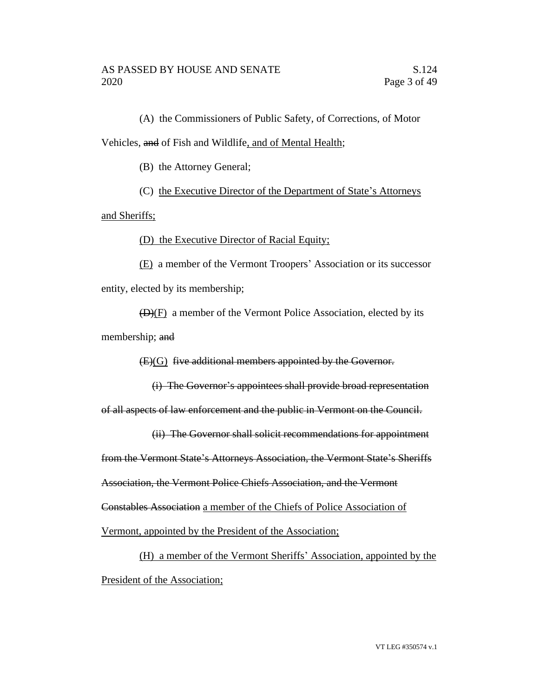(A) the Commissioners of Public Safety, of Corrections, of Motor Vehicles, and of Fish and Wildlife, and of Mental Health;

(B) the Attorney General;

(C) the Executive Director of the Department of State's Attorneys

and Sheriffs;

(D) the Executive Director of Racial Equity;

(E) a member of the Vermont Troopers' Association or its successor entity, elected by its membership;

 $(D)(F)$  a member of the Vermont Police Association, elected by its membership; and

(E)(G) five additional members appointed by the Governor.

(i) The Governor's appointees shall provide broad representation of all aspects of law enforcement and the public in Vermont on the Council.

(ii) The Governor shall solicit recommendations for appointment

from the Vermont State's Attorneys Association, the Vermont State's Sheriffs

Association, the Vermont Police Chiefs Association, and the Vermont

Constables Association a member of the Chiefs of Police Association of

Vermont, appointed by the President of the Association;

(H) a member of the Vermont Sheriffs' Association, appointed by the President of the Association;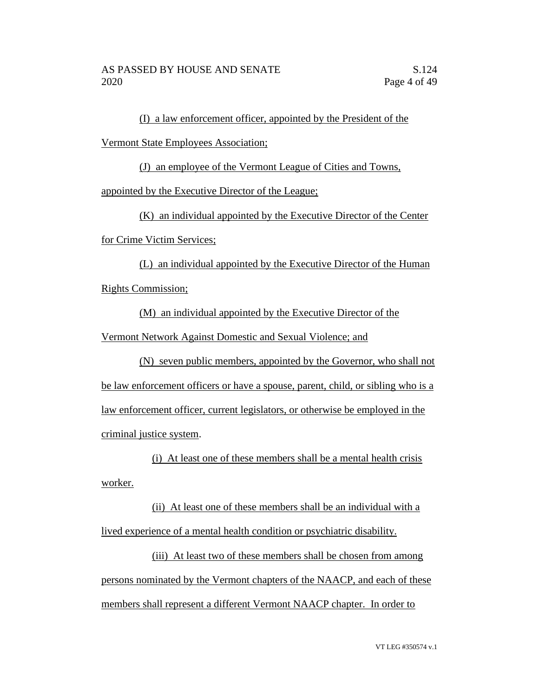(I) a law enforcement officer, appointed by the President of the

Vermont State Employees Association;

(J) an employee of the Vermont League of Cities and Towns,

appointed by the Executive Director of the League;

(K) an individual appointed by the Executive Director of the Center

for Crime Victim Services;

(L) an individual appointed by the Executive Director of the Human Rights Commission;

(M) an individual appointed by the Executive Director of the

Vermont Network Against Domestic and Sexual Violence; and

(N) seven public members, appointed by the Governor, who shall not be law enforcement officers or have a spouse, parent, child, or sibling who is a law enforcement officer, current legislators, or otherwise be employed in the criminal justice system.

(i) At least one of these members shall be a mental health crisis worker.

(ii) At least one of these members shall be an individual with a lived experience of a mental health condition or psychiatric disability.

(iii) At least two of these members shall be chosen from among persons nominated by the Vermont chapters of the NAACP, and each of these members shall represent a different Vermont NAACP chapter. In order to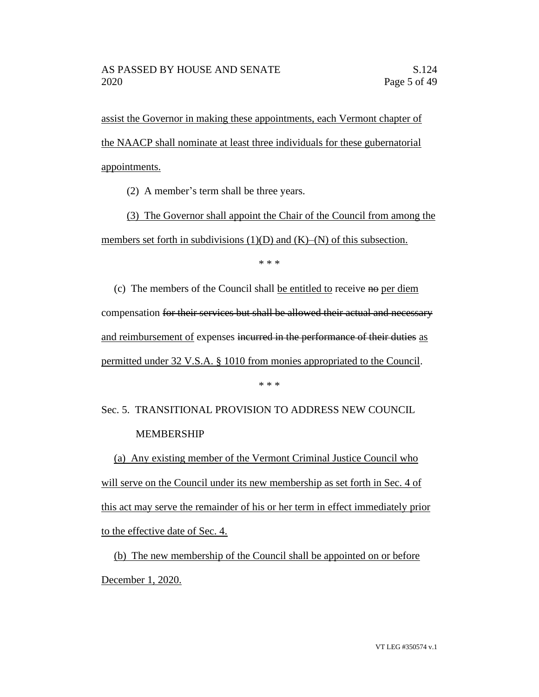assist the Governor in making these appointments, each Vermont chapter of the NAACP shall nominate at least three individuals for these gubernatorial appointments.

(2) A member's term shall be three years.

(3) The Governor shall appoint the Chair of the Council from among the members set forth in subdivisions  $(1)(D)$  and  $(K)$ – $(N)$  of this subsection.

\* \* \*

(c) The members of the Council shall be entitled to receive  $\overline{ho}$  per diem compensation for their services but shall be allowed their actual and necessary and reimbursement of expenses incurred in the performance of their duties as permitted under 32 V.S.A. § 1010 from monies appropriated to the Council.

\* \* \*

# Sec. 5. TRANSITIONAL PROVISION TO ADDRESS NEW COUNCIL MEMBERSHIP

(a) Any existing member of the Vermont Criminal Justice Council who will serve on the Council under its new membership as set forth in Sec. 4 of this act may serve the remainder of his or her term in effect immediately prior to the effective date of Sec. 4.

(b) The new membership of the Council shall be appointed on or before December 1, 2020.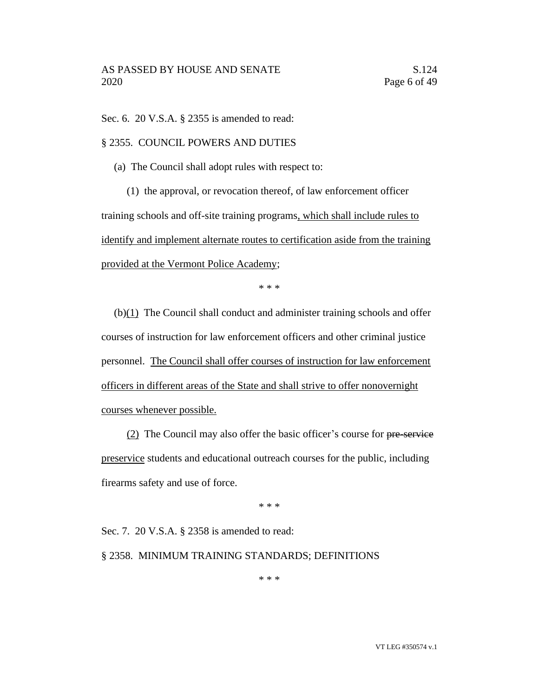Sec. 6. 20 V.S.A. § 2355 is amended to read:

#### § 2355. COUNCIL POWERS AND DUTIES

(a) The Council shall adopt rules with respect to:

(1) the approval, or revocation thereof, of law enforcement officer training schools and off-site training programs, which shall include rules to identify and implement alternate routes to certification aside from the training provided at the Vermont Police Academy;

\* \* \*

 $(b)(1)$  The Council shall conduct and administer training schools and offer courses of instruction for law enforcement officers and other criminal justice personnel. The Council shall offer courses of instruction for law enforcement officers in different areas of the State and shall strive to offer nonovernight courses whenever possible.

(2) The Council may also offer the basic officer's course for pre-service preservice students and educational outreach courses for the public, including firearms safety and use of force.

\* \* \*

Sec. 7. 20 V.S.A. § 2358 is amended to read:

#### § 2358. MINIMUM TRAINING STANDARDS; DEFINITIONS

\* \* \*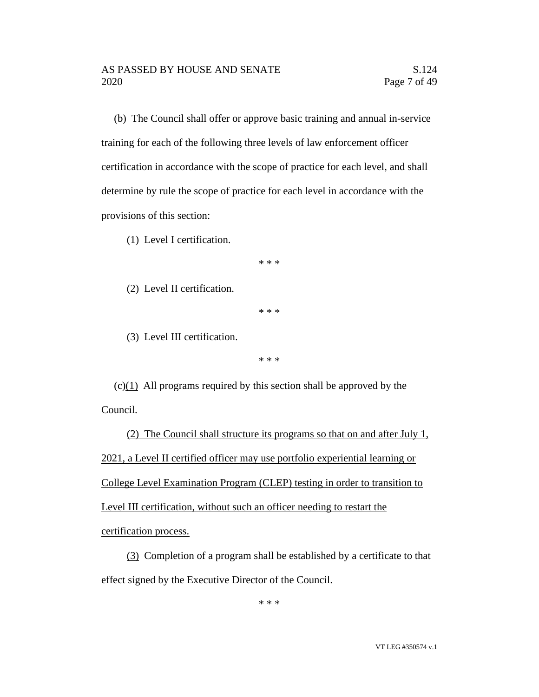(b) The Council shall offer or approve basic training and annual in-service training for each of the following three levels of law enforcement officer certification in accordance with the scope of practice for each level, and shall determine by rule the scope of practice for each level in accordance with the provisions of this section:

(1) Level I certification.

\* \* \*

(2) Level II certification.

\* \* \*

(3) Level III certification.

\* \* \*

(c)(1) All programs required by this section shall be approved by the Council.

(2) The Council shall structure its programs so that on and after July 1, 2021, a Level II certified officer may use portfolio experiential learning or College Level Examination Program (CLEP) testing in order to transition to Level III certification, without such an officer needing to restart the certification process.

(3) Completion of a program shall be established by a certificate to that effect signed by the Executive Director of the Council.

\* \* \*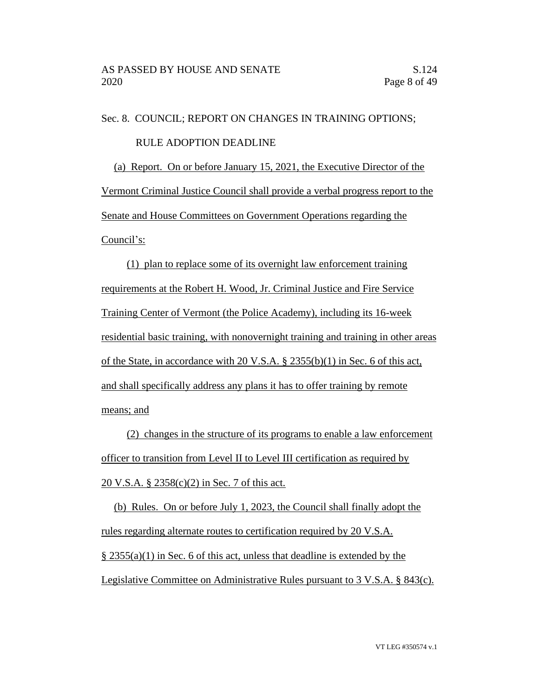Sec. 8. COUNCIL; REPORT ON CHANGES IN TRAINING OPTIONS; RULE ADOPTION DEADLINE

(a) Report. On or before January 15, 2021, the Executive Director of the Vermont Criminal Justice Council shall provide a verbal progress report to the Senate and House Committees on Government Operations regarding the Council's:

(1) plan to replace some of its overnight law enforcement training requirements at the Robert H. Wood, Jr. Criminal Justice and Fire Service Training Center of Vermont (the Police Academy), including its 16-week residential basic training, with nonovernight training and training in other areas of the State, in accordance with 20 V.S.A. § 2355(b)(1) in Sec. 6 of this act, and shall specifically address any plans it has to offer training by remote means; and

(2) changes in the structure of its programs to enable a law enforcement officer to transition from Level II to Level III certification as required by 20 V.S.A. § 2358(c)(2) in Sec. 7 of this act.

(b) Rules. On or before July 1, 2023, the Council shall finally adopt the rules regarding alternate routes to certification required by 20 V.S.A. § 2355(a)(1) in Sec. 6 of this act, unless that deadline is extended by the Legislative Committee on Administrative Rules pursuant to 3 V.S.A. § 843(c).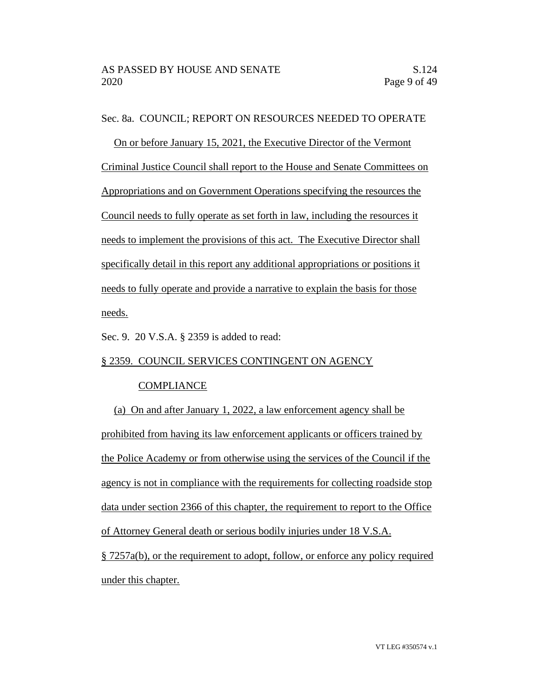Sec. 8a. COUNCIL; REPORT ON RESOURCES NEEDED TO OPERATE

On or before January 15, 2021, the Executive Director of the Vermont Criminal Justice Council shall report to the House and Senate Committees on Appropriations and on Government Operations specifying the resources the Council needs to fully operate as set forth in law, including the resources it needs to implement the provisions of this act. The Executive Director shall specifically detail in this report any additional appropriations or positions it needs to fully operate and provide a narrative to explain the basis for those needs.

Sec. 9. 20 V.S.A. § 2359 is added to read:

#### § 2359. COUNCIL SERVICES CONTINGENT ON AGENCY

# **COMPLIANCE**

(a) On and after January 1, 2022, a law enforcement agency shall be prohibited from having its law enforcement applicants or officers trained by the Police Academy or from otherwise using the services of the Council if the agency is not in compliance with the requirements for collecting roadside stop data under section 2366 of this chapter, the requirement to report to the Office of Attorney General death or serious bodily injuries under 18 V.S.A. § 7257a(b), or the requirement to adopt, follow, or enforce any policy required under this chapter.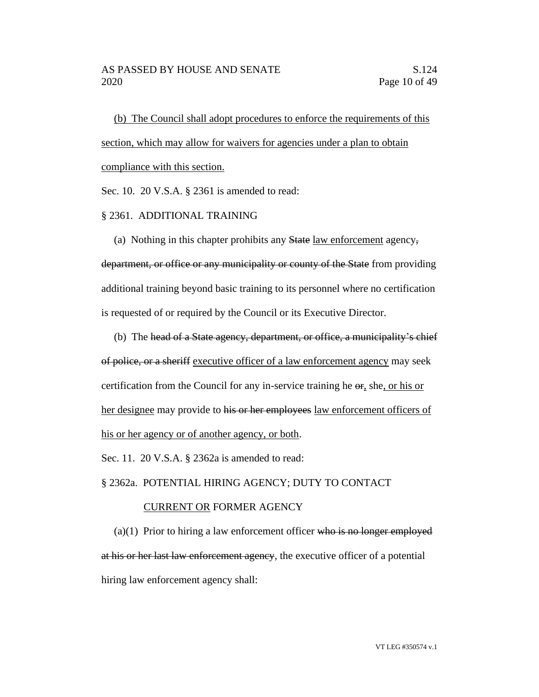(b) The Council shall adopt procedures to enforce the requirements of this section, which may allow for waivers for agencies under a plan to obtain compliance with this section.

Sec. 10. 20 V.S.A. § 2361 is amended to read:

#### § 2361. ADDITIONAL TRAINING

(a) Nothing in this chapter prohibits any State law enforcement agency,

department, or office or any municipality or county of the State from providing additional training beyond basic training to its personnel where no certification is requested of or required by the Council or its Executive Director.

(b) The head of a State agency, department, or office, a municipality's chief

of police, or a sheriff executive officer of a law enforcement agency may seek certification from the Council for any in-service training he  $\Theta$ , she, or his or her designee may provide to his or her employees law enforcement officers of his or her agency or of another agency, or both.

Sec. 11. 20 V.S.A. § 2362a is amended to read:

§ 2362a. POTENTIAL HIRING AGENCY; DUTY TO CONTACT

#### CURRENT OR FORMER AGENCY

 $(a)(1)$  Prior to hiring a law enforcement officer who is no longer employed at his or her last law enforcement agency, the executive officer of a potential hiring law enforcement agency shall: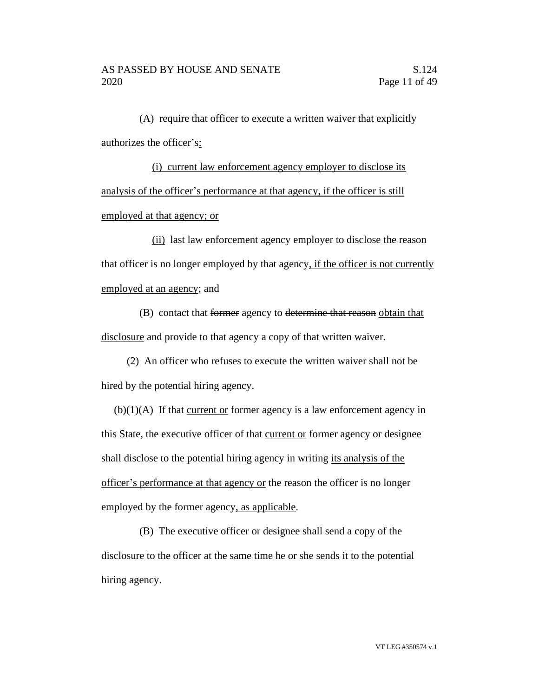(A) require that officer to execute a written waiver that explicitly authorizes the officer's:

(i) current law enforcement agency employer to disclose its analysis of the officer's performance at that agency, if the officer is still employed at that agency; or

(ii) last law enforcement agency employer to disclose the reason that officer is no longer employed by that agency, if the officer is not currently employed at an agency; and

(B) contact that former agency to determine that reason obtain that disclosure and provide to that agency a copy of that written waiver.

(2) An officer who refuses to execute the written waiver shall not be hired by the potential hiring agency.

 $(b)(1)(A)$  If that current or former agency is a law enforcement agency in this State, the executive officer of that current or former agency or designee shall disclose to the potential hiring agency in writing its analysis of the officer's performance at that agency or the reason the officer is no longer employed by the former agency, as applicable.

(B) The executive officer or designee shall send a copy of the disclosure to the officer at the same time he or she sends it to the potential hiring agency.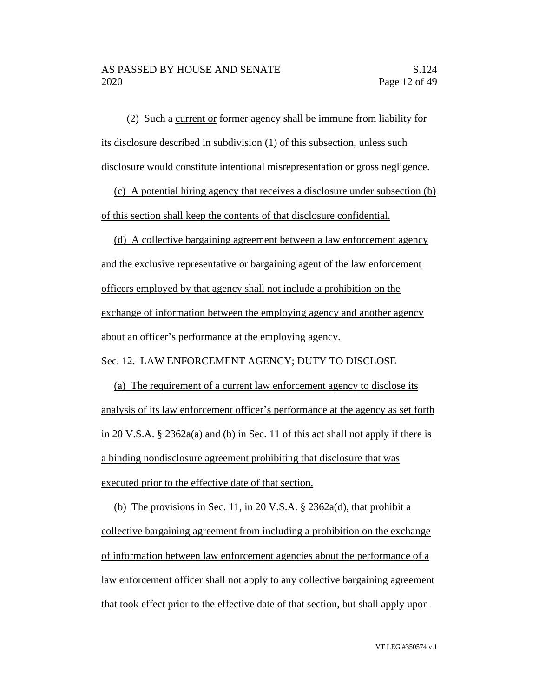(2) Such a current or former agency shall be immune from liability for its disclosure described in subdivision (1) of this subsection, unless such disclosure would constitute intentional misrepresentation or gross negligence.

(c) A potential hiring agency that receives a disclosure under subsection (b) of this section shall keep the contents of that disclosure confidential.

(d) A collective bargaining agreement between a law enforcement agency and the exclusive representative or bargaining agent of the law enforcement officers employed by that agency shall not include a prohibition on the exchange of information between the employing agency and another agency about an officer's performance at the employing agency.

Sec. 12. LAW ENFORCEMENT AGENCY; DUTY TO DISCLOSE

(a) The requirement of a current law enforcement agency to disclose its analysis of its law enforcement officer's performance at the agency as set forth in 20 V.S.A. § 2362a(a) and (b) in Sec. 11 of this act shall not apply if there is a binding nondisclosure agreement prohibiting that disclosure that was executed prior to the effective date of that section.

(b) The provisions in Sec. 11, in 20 V.S.A. § 2362a(d), that prohibit a collective bargaining agreement from including a prohibition on the exchange of information between law enforcement agencies about the performance of a law enforcement officer shall not apply to any collective bargaining agreement that took effect prior to the effective date of that section, but shall apply upon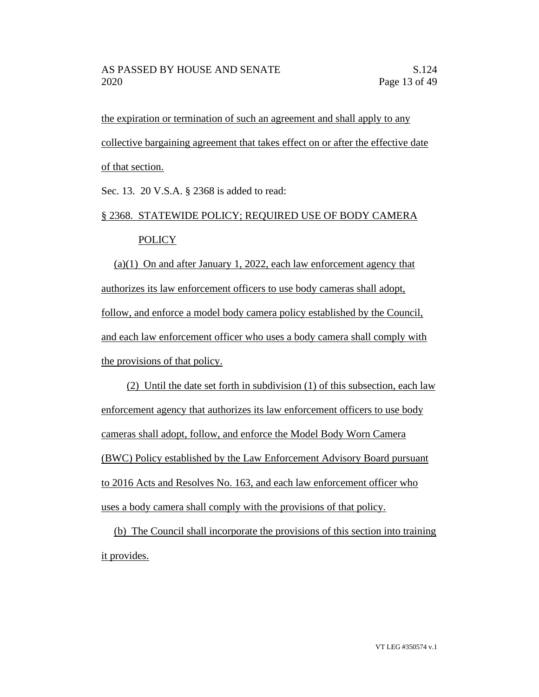the expiration or termination of such an agreement and shall apply to any collective bargaining agreement that takes effect on or after the effective date of that section.

Sec. 13. 20 V.S.A. § 2368 is added to read:

# § 2368. STATEWIDE POLICY; REQUIRED USE OF BODY CAMERA POLICY

(a)(1) On and after January 1, 2022, each law enforcement agency that authorizes its law enforcement officers to use body cameras shall adopt, follow, and enforce a model body camera policy established by the Council, and each law enforcement officer who uses a body camera shall comply with the provisions of that policy.

(2) Until the date set forth in subdivision (1) of this subsection, each law enforcement agency that authorizes its law enforcement officers to use body cameras shall adopt, follow, and enforce the Model Body Worn Camera (BWC) Policy established by the Law Enforcement Advisory Board pursuant to 2016 Acts and Resolves No. 163, and each law enforcement officer who uses a body camera shall comply with the provisions of that policy.

(b) The Council shall incorporate the provisions of this section into training it provides.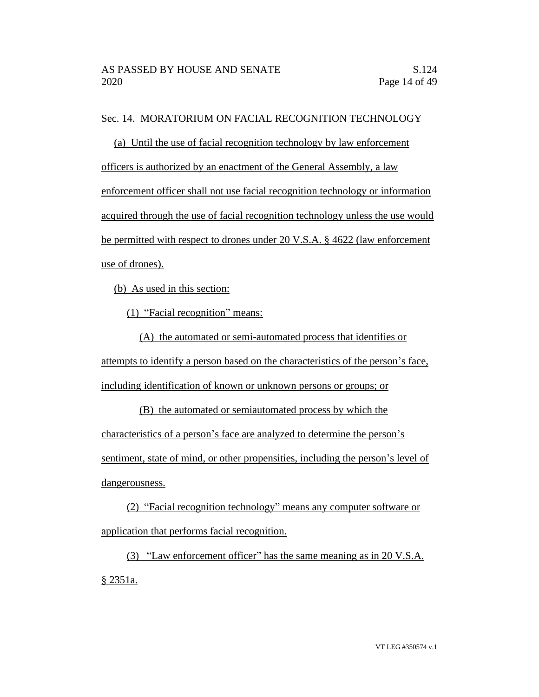# Sec. 14. MORATORIUM ON FACIAL RECOGNITION TECHNOLOGY

(a) Until the use of facial recognition technology by law enforcement officers is authorized by an enactment of the General Assembly, a law enforcement officer shall not use facial recognition technology or information acquired through the use of facial recognition technology unless the use would be permitted with respect to drones under 20 V.S.A. § 4622 (law enforcement use of drones).

(b) As used in this section:

(1) "Facial recognition" means:

(A) the automated or semi-automated process that identifies or attempts to identify a person based on the characteristics of the person's face, including identification of known or unknown persons or groups; or

(B) the automated or semiautomated process by which the characteristics of a person's face are analyzed to determine the person's sentiment, state of mind, or other propensities, including the person's level of dangerousness.

(2) "Facial recognition technology" means any computer software or application that performs facial recognition.

(3) "Law enforcement officer" has the same meaning as in 20 V.S.A. § 2351a.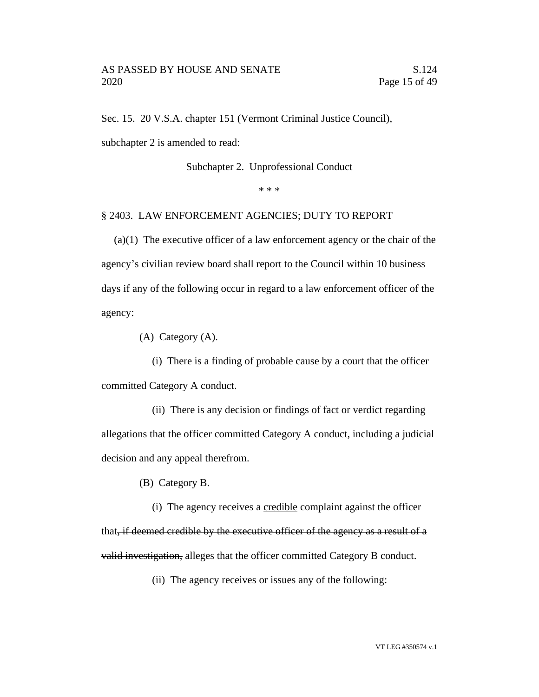Sec. 15. 20 V.S.A. chapter 151 (Vermont Criminal Justice Council),

subchapter 2 is amended to read:

Subchapter 2. Unprofessional Conduct

\* \* \*

#### § 2403. LAW ENFORCEMENT AGENCIES; DUTY TO REPORT

(a)(1) The executive officer of a law enforcement agency or the chair of the agency's civilian review board shall report to the Council within 10 business days if any of the following occur in regard to a law enforcement officer of the agency:

(A) Category (A).

(i) There is a finding of probable cause by a court that the officer committed Category A conduct.

(ii) There is any decision or findings of fact or verdict regarding allegations that the officer committed Category A conduct, including a judicial decision and any appeal therefrom.

(B) Category B.

(i) The agency receives a credible complaint against the officer that, if deemed credible by the executive officer of the agency as a result of a valid investigation, alleges that the officer committed Category B conduct.

(ii) The agency receives or issues any of the following: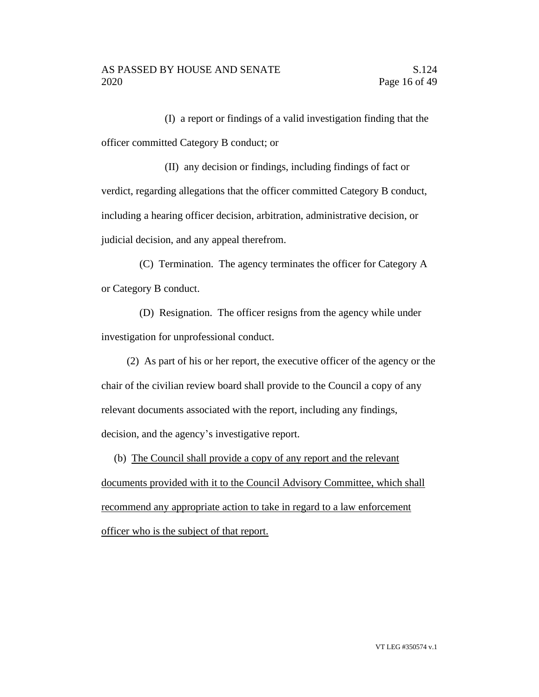(I) a report or findings of a valid investigation finding that the officer committed Category B conduct; or

(II) any decision or findings, including findings of fact or verdict, regarding allegations that the officer committed Category B conduct, including a hearing officer decision, arbitration, administrative decision, or judicial decision, and any appeal therefrom.

(C) Termination. The agency terminates the officer for Category A or Category B conduct.

(D) Resignation. The officer resigns from the agency while under investigation for unprofessional conduct.

(2) As part of his or her report, the executive officer of the agency or the chair of the civilian review board shall provide to the Council a copy of any relevant documents associated with the report, including any findings, decision, and the agency's investigative report.

(b) The Council shall provide a copy of any report and the relevant

documents provided with it to the Council Advisory Committee, which shall recommend any appropriate action to take in regard to a law enforcement officer who is the subject of that report.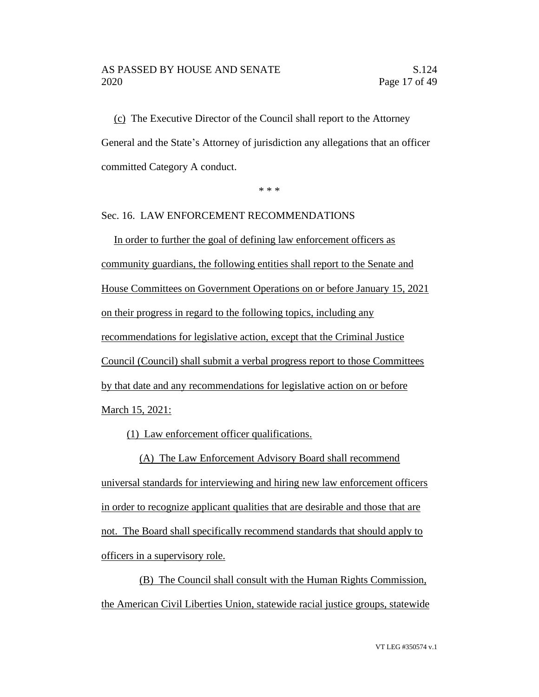#### AS PASSED BY HOUSE AND SENATE S.124 2020 Page 17 of 49

(c) The Executive Director of the Council shall report to the Attorney General and the State's Attorney of jurisdiction any allegations that an officer committed Category A conduct.

\* \* \*

# Sec. 16. LAW ENFORCEMENT RECOMMENDATIONS

In order to further the goal of defining law enforcement officers as community guardians, the following entities shall report to the Senate and House Committees on Government Operations on or before January 15, 2021 on their progress in regard to the following topics, including any recommendations for legislative action, except that the Criminal Justice Council (Council) shall submit a verbal progress report to those Committees by that date and any recommendations for legislative action on or before March 15, 2021:

(1) Law enforcement officer qualifications.

(A) The Law Enforcement Advisory Board shall recommend universal standards for interviewing and hiring new law enforcement officers in order to recognize applicant qualities that are desirable and those that are not. The Board shall specifically recommend standards that should apply to officers in a supervisory role.

(B) The Council shall consult with the Human Rights Commission, the American Civil Liberties Union, statewide racial justice groups, statewide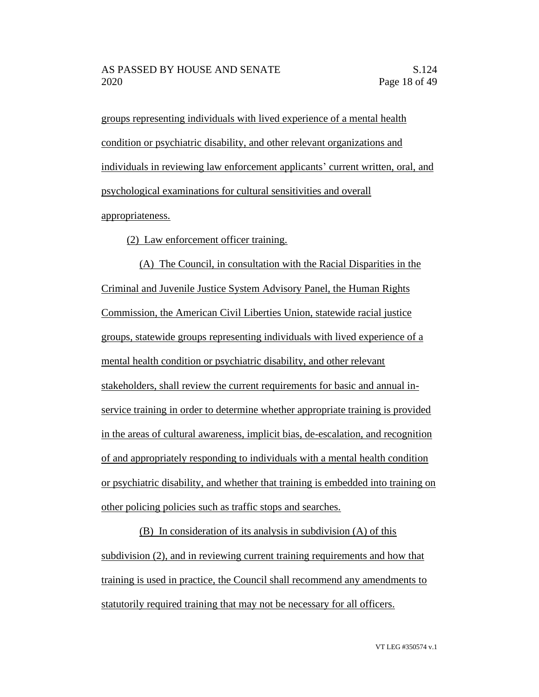groups representing individuals with lived experience of a mental health condition or psychiatric disability, and other relevant organizations and individuals in reviewing law enforcement applicants' current written, oral, and psychological examinations for cultural sensitivities and overall appropriateness.

(2) Law enforcement officer training.

(A) The Council, in consultation with the Racial Disparities in the Criminal and Juvenile Justice System Advisory Panel, the Human Rights Commission, the American Civil Liberties Union, statewide racial justice groups, statewide groups representing individuals with lived experience of a mental health condition or psychiatric disability, and other relevant stakeholders, shall review the current requirements for basic and annual inservice training in order to determine whether appropriate training is provided in the areas of cultural awareness, implicit bias, de-escalation, and recognition of and appropriately responding to individuals with a mental health condition or psychiatric disability, and whether that training is embedded into training on other policing policies such as traffic stops and searches.

(B) In consideration of its analysis in subdivision (A) of this subdivision (2), and in reviewing current training requirements and how that training is used in practice, the Council shall recommend any amendments to statutorily required training that may not be necessary for all officers.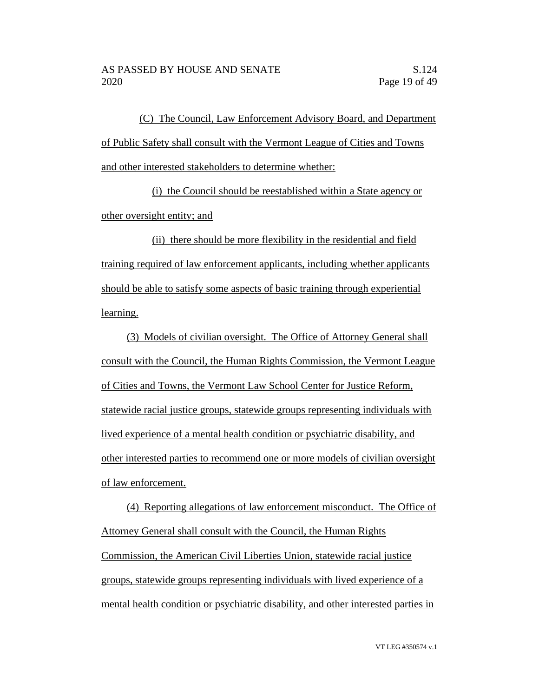(C) The Council, Law Enforcement Advisory Board, and Department of Public Safety shall consult with the Vermont League of Cities and Towns and other interested stakeholders to determine whether:

(i) the Council should be reestablished within a State agency or other oversight entity; and

(ii) there should be more flexibility in the residential and field training required of law enforcement applicants, including whether applicants should be able to satisfy some aspects of basic training through experiential learning.

(3) Models of civilian oversight. The Office of Attorney General shall consult with the Council, the Human Rights Commission, the Vermont League of Cities and Towns, the Vermont Law School Center for Justice Reform, statewide racial justice groups, statewide groups representing individuals with lived experience of a mental health condition or psychiatric disability, and other interested parties to recommend one or more models of civilian oversight of law enforcement.

(4) Reporting allegations of law enforcement misconduct. The Office of Attorney General shall consult with the Council, the Human Rights Commission, the American Civil Liberties Union, statewide racial justice groups, statewide groups representing individuals with lived experience of a mental health condition or psychiatric disability, and other interested parties in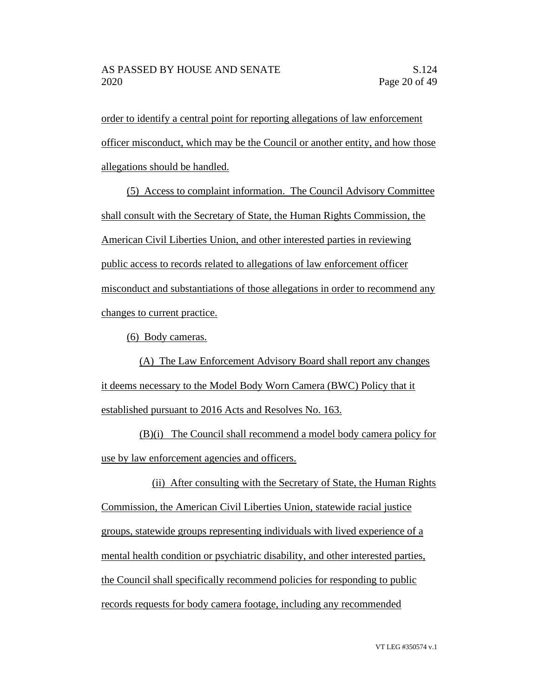order to identify a central point for reporting allegations of law enforcement officer misconduct, which may be the Council or another entity, and how those allegations should be handled.

(5) Access to complaint information. The Council Advisory Committee shall consult with the Secretary of State, the Human Rights Commission, the American Civil Liberties Union, and other interested parties in reviewing public access to records related to allegations of law enforcement officer misconduct and substantiations of those allegations in order to recommend any changes to current practice.

(6) Body cameras.

(A) The Law Enforcement Advisory Board shall report any changes it deems necessary to the Model Body Worn Camera (BWC) Policy that it established pursuant to 2016 Acts and Resolves No. 163.

(B)(i) The Council shall recommend a model body camera policy for use by law enforcement agencies and officers.

(ii) After consulting with the Secretary of State, the Human Rights Commission, the American Civil Liberties Union, statewide racial justice groups, statewide groups representing individuals with lived experience of a mental health condition or psychiatric disability, and other interested parties, the Council shall specifically recommend policies for responding to public records requests for body camera footage, including any recommended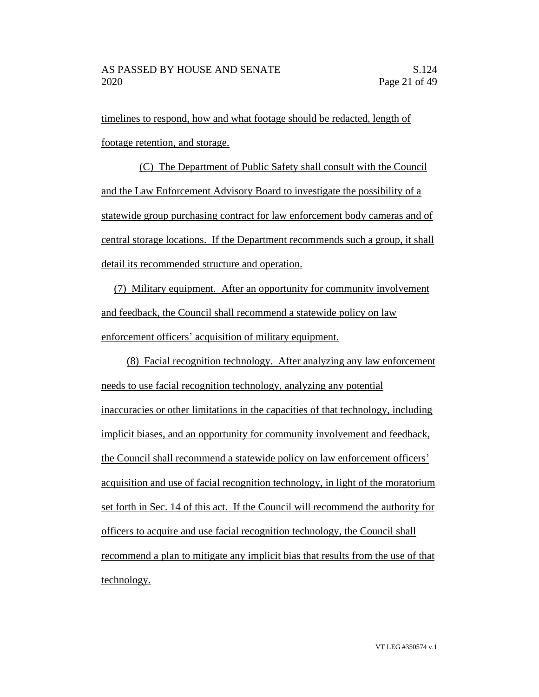timelines to respond, how and what footage should be redacted, length of footage retention, and storage.

(C) The Department of Public Safety shall consult with the Council and the Law Enforcement Advisory Board to investigate the possibility of a statewide group purchasing contract for law enforcement body cameras and of central storage locations. If the Department recommends such a group, it shall detail its recommended structure and operation.

(7) Military equipment. After an opportunity for community involvement and feedback, the Council shall recommend a statewide policy on law enforcement officers' acquisition of military equipment.

(8) Facial recognition technology. After analyzing any law enforcement needs to use facial recognition technology, analyzing any potential inaccuracies or other limitations in the capacities of that technology, including implicit biases, and an opportunity for community involvement and feedback, the Council shall recommend a statewide policy on law enforcement officers' acquisition and use of facial recognition technology, in light of the moratorium set forth in Sec. 14 of this act. If the Council will recommend the authority for officers to acquire and use facial recognition technology, the Council shall recommend a plan to mitigate any implicit bias that results from the use of that technology.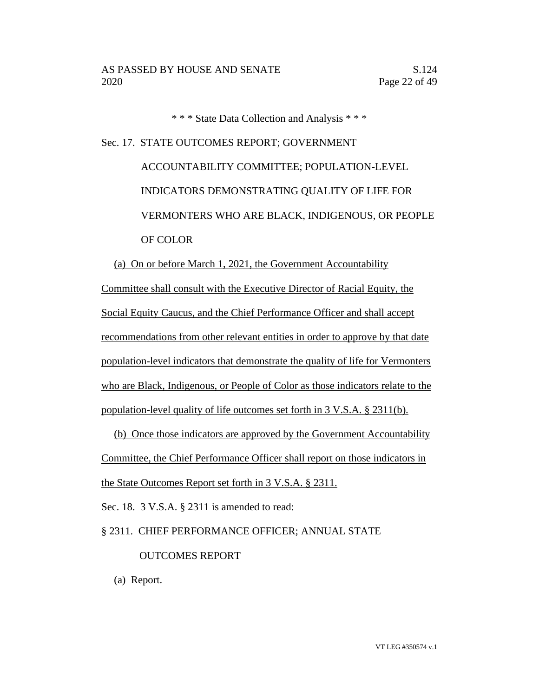\* \* \* State Data Collection and Analysis \* \* \*

Sec. 17. STATE OUTCOMES REPORT; GOVERNMENT ACCOUNTABILITY COMMITTEE; POPULATION-LEVEL INDICATORS DEMONSTRATING QUALITY OF LIFE FOR VERMONTERS WHO ARE BLACK, INDIGENOUS, OR PEOPLE OF COLOR

(a) On or before March 1, 2021, the Government Accountability

Committee shall consult with the Executive Director of Racial Equity, the Social Equity Caucus, and the Chief Performance Officer and shall accept recommendations from other relevant entities in order to approve by that date population-level indicators that demonstrate the quality of life for Vermonters who are Black, Indigenous, or People of Color as those indicators relate to the population-level quality of life outcomes set forth in 3 V.S.A. § 2311(b).

(b) Once those indicators are approved by the Government Accountability Committee, the Chief Performance Officer shall report on those indicators in the State Outcomes Report set forth in 3 V.S.A. § 2311.

Sec. 18. 3 V.S.A. § 2311 is amended to read:

§ 2311. CHIEF PERFORMANCE OFFICER; ANNUAL STATE

# OUTCOMES REPORT

(a) Report.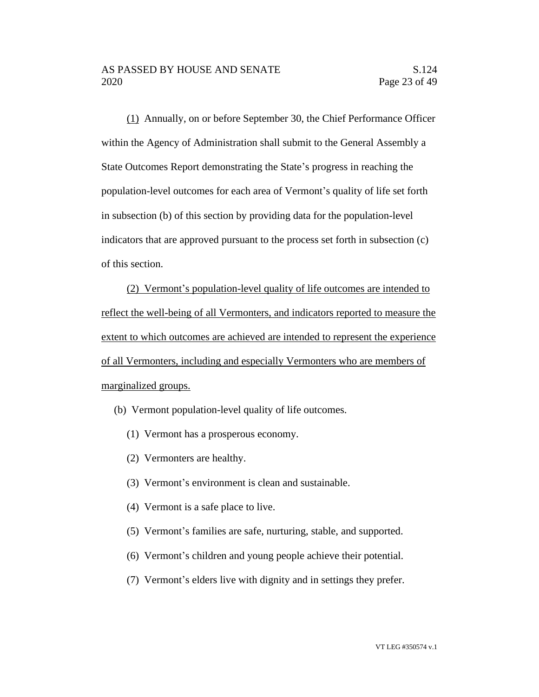(1) Annually, on or before September 30, the Chief Performance Officer within the Agency of Administration shall submit to the General Assembly a State Outcomes Report demonstrating the State's progress in reaching the population-level outcomes for each area of Vermont's quality of life set forth in subsection (b) of this section by providing data for the population-level indicators that are approved pursuant to the process set forth in subsection (c) of this section.

(2) Vermont's population-level quality of life outcomes are intended to reflect the well-being of all Vermonters, and indicators reported to measure the extent to which outcomes are achieved are intended to represent the experience of all Vermonters, including and especially Vermonters who are members of marginalized groups.

(b) Vermont population-level quality of life outcomes.

- (1) Vermont has a prosperous economy.
- (2) Vermonters are healthy.
- (3) Vermont's environment is clean and sustainable.
- (4) Vermont is a safe place to live.
- (5) Vermont's families are safe, nurturing, stable, and supported.
- (6) Vermont's children and young people achieve their potential.
- (7) Vermont's elders live with dignity and in settings they prefer.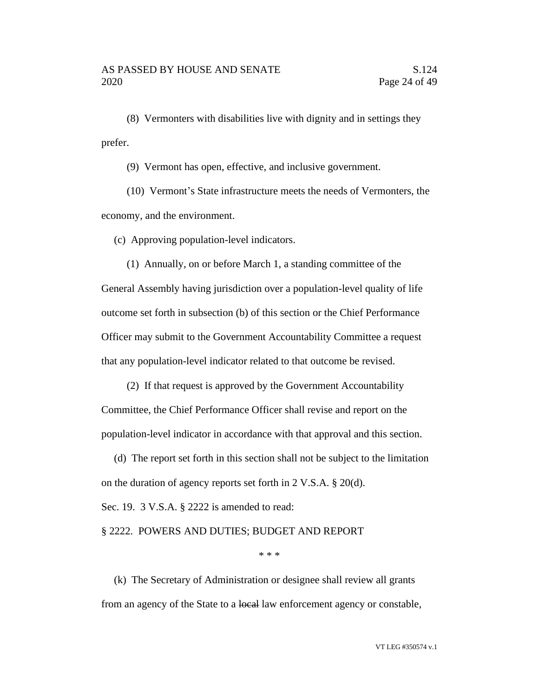(8) Vermonters with disabilities live with dignity and in settings they prefer.

(9) Vermont has open, effective, and inclusive government.

(10) Vermont's State infrastructure meets the needs of Vermonters, the economy, and the environment.

(c) Approving population-level indicators.

(1) Annually, on or before March 1, a standing committee of the General Assembly having jurisdiction over a population-level quality of life outcome set forth in subsection (b) of this section or the Chief Performance Officer may submit to the Government Accountability Committee a request that any population-level indicator related to that outcome be revised.

(2) If that request is approved by the Government Accountability Committee, the Chief Performance Officer shall revise and report on the population-level indicator in accordance with that approval and this section.

(d) The report set forth in this section shall not be subject to the limitation on the duration of agency reports set forth in 2 V.S.A. § 20(d).

Sec. 19. 3 V.S.A. § 2222 is amended to read:

#### § 2222. POWERS AND DUTIES; BUDGET AND REPORT

\* \* \*

(k) The Secretary of Administration or designee shall review all grants from an agency of the State to a local law enforcement agency or constable,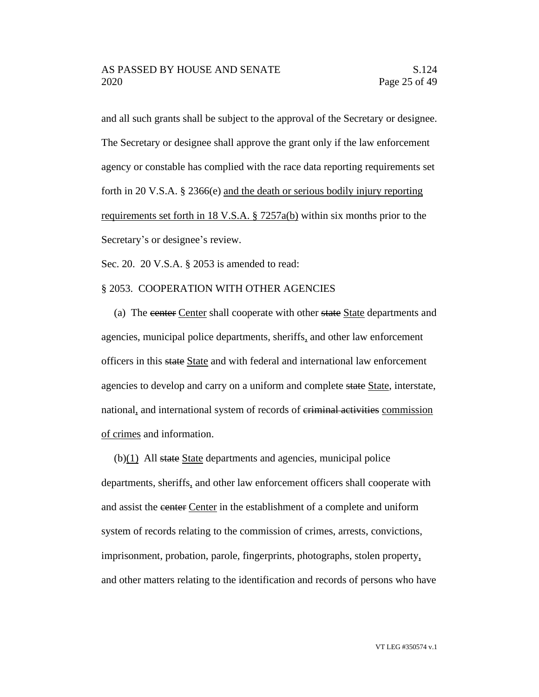and all such grants shall be subject to the approval of the Secretary or designee. The Secretary or designee shall approve the grant only if the law enforcement agency or constable has complied with the race data reporting requirements set forth in 20 V.S.A. § 2366(e) and the death or serious bodily injury reporting requirements set forth in 18 V.S.A. § 7257a(b) within six months prior to the Secretary's or designee's review.

Sec. 20. 20 V.S.A. § 2053 is amended to read:

#### § 2053. COOPERATION WITH OTHER AGENCIES

(a) The center Center shall cooperate with other state State departments and agencies, municipal police departments, sheriffs, and other law enforcement officers in this state State and with federal and international law enforcement agencies to develop and carry on a uniform and complete state State, interstate, national, and international system of records of criminal activities commission of crimes and information.

 $(b)(1)$  All state State departments and agencies, municipal police departments, sheriffs, and other law enforcement officers shall cooperate with and assist the center Center in the establishment of a complete and uniform system of records relating to the commission of crimes, arrests, convictions, imprisonment, probation, parole, fingerprints, photographs, stolen property, and other matters relating to the identification and records of persons who have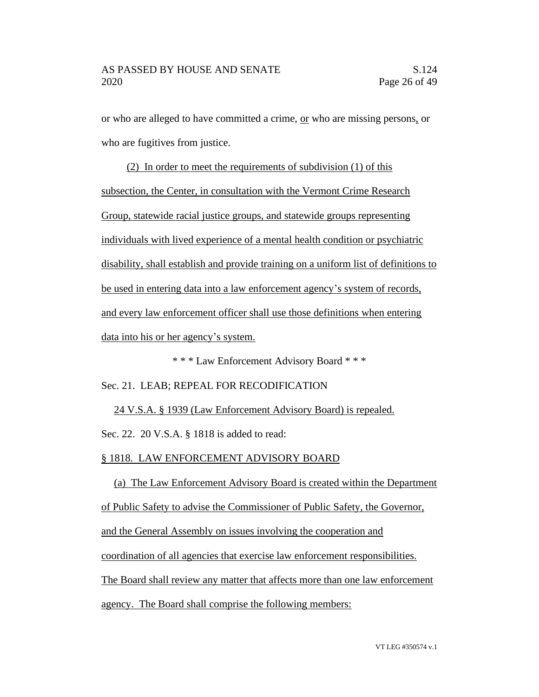or who are alleged to have committed a crime, or who are missing persons, or who are fugitives from justice.

(2) In order to meet the requirements of subdivision (1) of this subsection, the Center, in consultation with the Vermont Crime Research Group, statewide racial justice groups, and statewide groups representing individuals with lived experience of a mental health condition or psychiatric disability, shall establish and provide training on a uniform list of definitions to be used in entering data into a law enforcement agency's system of records, and every law enforcement officer shall use those definitions when entering data into his or her agency's system.

\* \* \* Law Enforcement Advisory Board \* \* \*

Sec. 21. LEAB; REPEAL FOR RECODIFICATION

24 V.S.A. § 1939 (Law Enforcement Advisory Board) is repealed. Sec. 22. 20 V.S.A. § 1818 is added to read:

§ 1818. LAW ENFORCEMENT ADVISORY BOARD

(a) The Law Enforcement Advisory Board is created within the Department of Public Safety to advise the Commissioner of Public Safety, the Governor, and the General Assembly on issues involving the cooperation and coordination of all agencies that exercise law enforcement responsibilities. The Board shall review any matter that affects more than one law enforcement agency. The Board shall comprise the following members: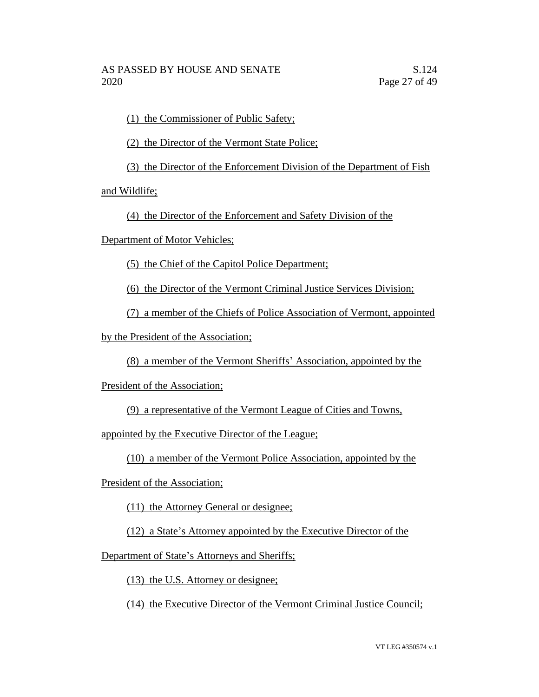(1) the Commissioner of Public Safety;

(2) the Director of the Vermont State Police;

(3) the Director of the Enforcement Division of the Department of Fish

and Wildlife;

(4) the Director of the Enforcement and Safety Division of the

Department of Motor Vehicles;

(5) the Chief of the Capitol Police Department;

(6) the Director of the Vermont Criminal Justice Services Division;

(7) a member of the Chiefs of Police Association of Vermont, appointed

by the President of the Association;

(8) a member of the Vermont Sheriffs' Association, appointed by the

President of the Association;

(9) a representative of the Vermont League of Cities and Towns,

appointed by the Executive Director of the League;

(10) a member of the Vermont Police Association, appointed by the

President of the Association;

(11) the Attorney General or designee;

(12) a State's Attorney appointed by the Executive Director of the

Department of State's Attorneys and Sheriffs;

(13) the U.S. Attorney or designee;

(14) the Executive Director of the Vermont Criminal Justice Council;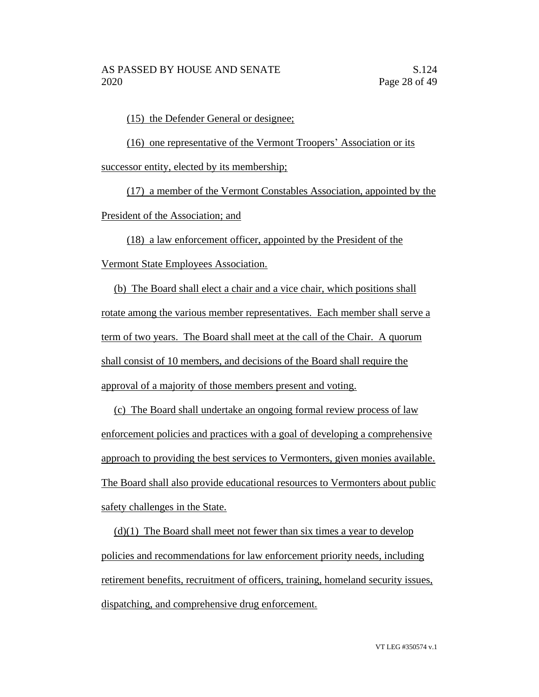(15) the Defender General or designee;

(16) one representative of the Vermont Troopers' Association or its successor entity, elected by its membership;

(17) a member of the Vermont Constables Association, appointed by the President of the Association; and

(18) a law enforcement officer, appointed by the President of the Vermont State Employees Association.

(b) The Board shall elect a chair and a vice chair, which positions shall rotate among the various member representatives. Each member shall serve a term of two years. The Board shall meet at the call of the Chair. A quorum shall consist of 10 members, and decisions of the Board shall require the approval of a majority of those members present and voting.

(c) The Board shall undertake an ongoing formal review process of law enforcement policies and practices with a goal of developing a comprehensive approach to providing the best services to Vermonters, given monies available. The Board shall also provide educational resources to Vermonters about public safety challenges in the State.

 $(d)(1)$  The Board shall meet not fewer than six times a year to develop policies and recommendations for law enforcement priority needs, including retirement benefits, recruitment of officers, training, homeland security issues, dispatching, and comprehensive drug enforcement.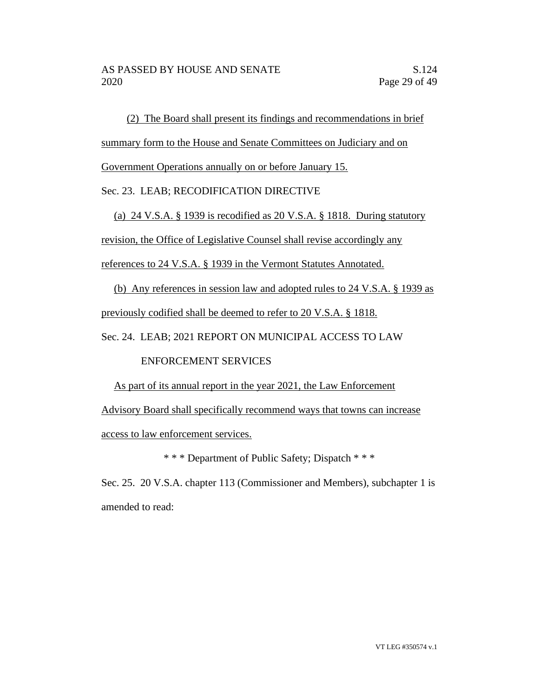(2) The Board shall present its findings and recommendations in brief

summary form to the House and Senate Committees on Judiciary and on

Government Operations annually on or before January 15.

# Sec. 23. LEAB; RECODIFICATION DIRECTIVE

(a) 24 V.S.A. § 1939 is recodified as 20 V.S.A. § 1818. During statutory

revision, the Office of Legislative Counsel shall revise accordingly any

references to 24 V.S.A. § 1939 in the Vermont Statutes Annotated.

(b) Any references in session law and adopted rules to 24 V.S.A. § 1939 as

previously codified shall be deemed to refer to 20 V.S.A. § 1818.

Sec. 24. LEAB; 2021 REPORT ON MUNICIPAL ACCESS TO LAW

# ENFORCEMENT SERVICES

As part of its annual report in the year 2021, the Law Enforcement

Advisory Board shall specifically recommend ways that towns can increase access to law enforcement services.

\* \* \* Department of Public Safety; Dispatch \* \* \*

Sec. 25. 20 V.S.A. chapter 113 (Commissioner and Members), subchapter 1 is amended to read: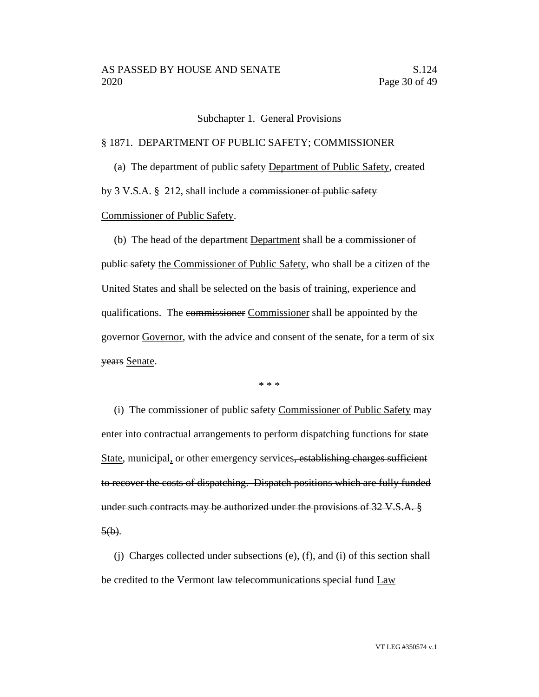Subchapter 1. General Provisions

#### § 1871. DEPARTMENT OF PUBLIC SAFETY; COMMISSIONER

(a) The department of public safety Department of Public Safety, created

by 3 V.S.A. § 212, shall include a commissioner of public safety

Commissioner of Public Safety.

(b) The head of the department Department shall be a commissioner of public safety the Commissioner of Public Safety, who shall be a citizen of the United States and shall be selected on the basis of training, experience and qualifications. The commissioner Commissioner shall be appointed by the governor Governor, with the advice and consent of the senate, for a term of six years Senate.

\* \* \*

(i) The commissioner of public safety Commissioner of Public Safety may enter into contractual arrangements to perform dispatching functions for state State, municipal, or other emergency services<del>, establishing charges sufficient</del> to recover the costs of dispatching. Dispatch positions which are fully funded under such contracts may be authorized under the provisions of 32 V.S.A. §  $5(b)$ .

(j) Charges collected under subsections (e), (f), and (i) of this section shall be credited to the Vermont law telecommunications special fund Law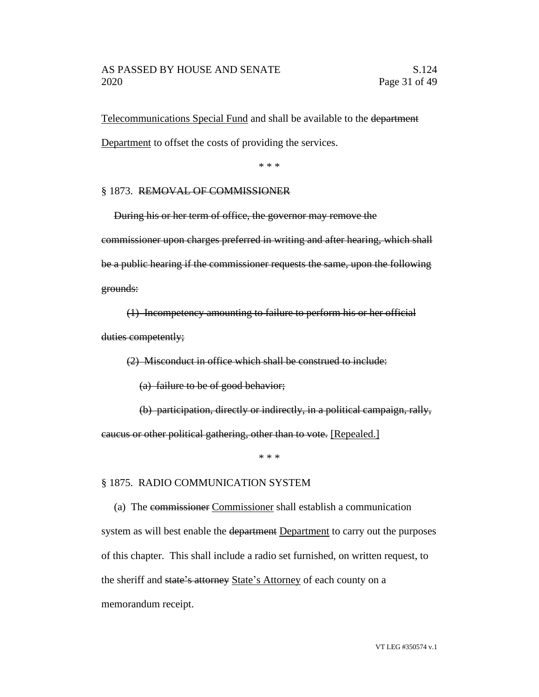#### AS PASSED BY HOUSE AND SENATE S.124 2020 Page 31 of 49

Telecommunications Special Fund and shall be available to the department Department to offset the costs of providing the services.

\* \* \*

#### § 1873. REMOVAL OF COMMISSIONER

During his or her term of office, the governor may remove the commissioner upon charges preferred in writing and after hearing, which shall be a public hearing if the commissioner requests the same, upon the following grounds:

(1) Incompetency amounting to failure to perform his or her official duties competently;

(2) Misconduct in office which shall be construed to include:

(a) failure to be of good behavior;

(b) participation, directly or indirectly, in a political campaign, rally,

caucus or other political gathering, other than to vote. [Repealed.]

\* \* \*

#### § 1875. RADIO COMMUNICATION SYSTEM

(a) The commissioner Commissioner shall establish a communication system as will best enable the department Department to carry out the purposes of this chapter. This shall include a radio set furnished, on written request, to the sheriff and state's attorney State's Attorney of each county on a memorandum receipt.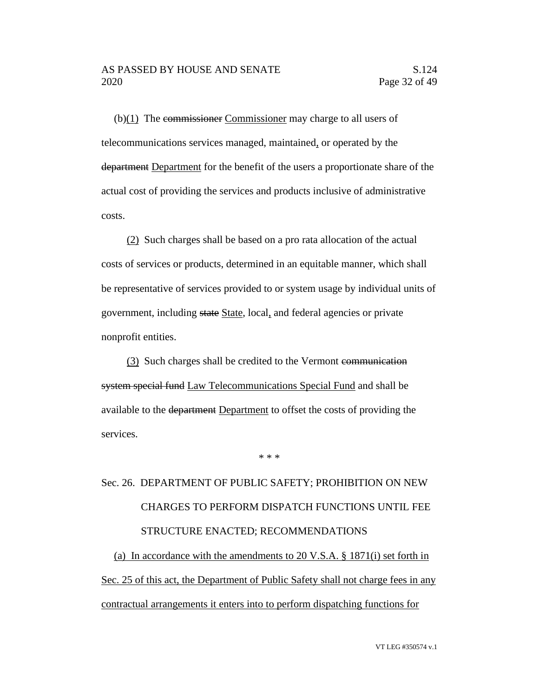(b) $(1)$  The commissioner Commissioner may charge to all users of telecommunications services managed, maintained, or operated by the department Department for the benefit of the users a proportionate share of the actual cost of providing the services and products inclusive of administrative costs.

(2) Such charges shall be based on a pro rata allocation of the actual costs of services or products, determined in an equitable manner, which shall be representative of services provided to or system usage by individual units of government, including state State, local, and federal agencies or private nonprofit entities.

(3) Such charges shall be credited to the Vermont communication system special fund Law Telecommunications Special Fund and shall be available to the department Department to offset the costs of providing the services.

# Sec. 26. DEPARTMENT OF PUBLIC SAFETY; PROHIBITION ON NEW CHARGES TO PERFORM DISPATCH FUNCTIONS UNTIL FEE STRUCTURE ENACTED; RECOMMENDATIONS

\* \* \*

(a) In accordance with the amendments to 20 V.S.A. § 1871(i) set forth in Sec. 25 of this act, the Department of Public Safety shall not charge fees in any contractual arrangements it enters into to perform dispatching functions for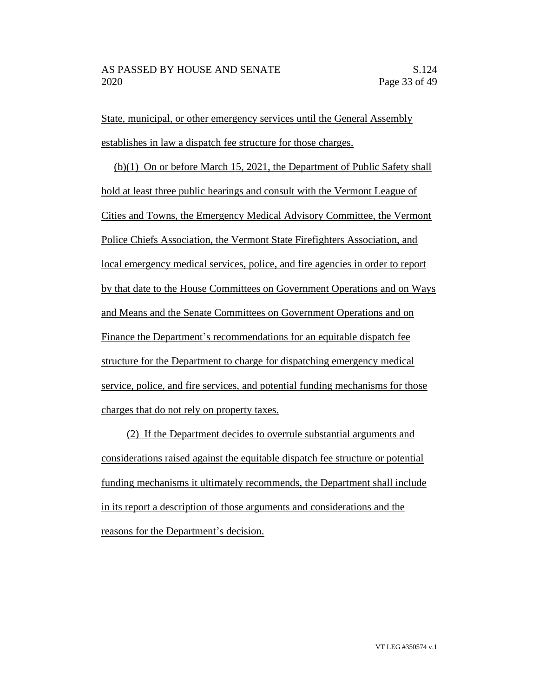State, municipal, or other emergency services until the General Assembly establishes in law a dispatch fee structure for those charges.

(b)(1) On or before March 15, 2021, the Department of Public Safety shall hold at least three public hearings and consult with the Vermont League of Cities and Towns, the Emergency Medical Advisory Committee, the Vermont Police Chiefs Association, the Vermont State Firefighters Association, and local emergency medical services, police, and fire agencies in order to report by that date to the House Committees on Government Operations and on Ways and Means and the Senate Committees on Government Operations and on Finance the Department's recommendations for an equitable dispatch fee structure for the Department to charge for dispatching emergency medical service, police, and fire services, and potential funding mechanisms for those charges that do not rely on property taxes.

(2) If the Department decides to overrule substantial arguments and considerations raised against the equitable dispatch fee structure or potential funding mechanisms it ultimately recommends, the Department shall include in its report a description of those arguments and considerations and the reasons for the Department's decision.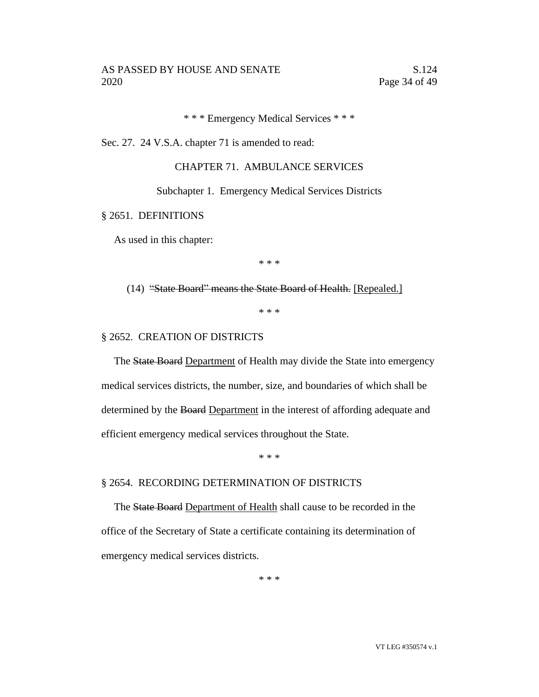\* \* \* Emergency Medical Services \* \* \*

Sec. 27. 24 V.S.A. chapter 71 is amended to read:

# CHAPTER 71. AMBULANCE SERVICES

Subchapter 1. Emergency Medical Services Districts

§ 2651. DEFINITIONS

As used in this chapter:

\* \* \*

(14) "State Board" means the State Board of Health. [Repealed.]

\* \* \*

#### § 2652. CREATION OF DISTRICTS

The State Board Department of Health may divide the State into emergency medical services districts, the number, size, and boundaries of which shall be determined by the Board Department in the interest of affording adequate and efficient emergency medical services throughout the State.

\* \* \*

#### § 2654. RECORDING DETERMINATION OF DISTRICTS

The State Board Department of Health shall cause to be recorded in the office of the Secretary of State a certificate containing its determination of emergency medical services districts.

\* \* \*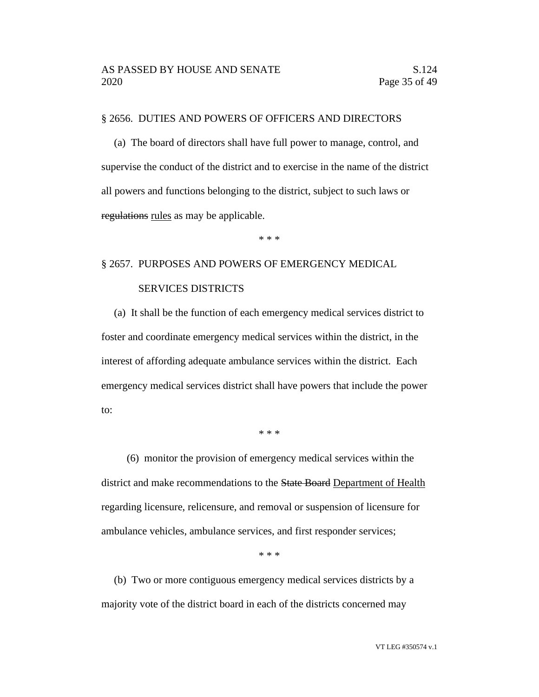#### § 2656. DUTIES AND POWERS OF OFFICERS AND DIRECTORS

(a) The board of directors shall have full power to manage, control, and supervise the conduct of the district and to exercise in the name of the district all powers and functions belonging to the district, subject to such laws or regulations rules as may be applicable.

\* \* \*

# § 2657. PURPOSES AND POWERS OF EMERGENCY MEDICAL

### SERVICES DISTRICTS

(a) It shall be the function of each emergency medical services district to foster and coordinate emergency medical services within the district, in the interest of affording adequate ambulance services within the district. Each emergency medical services district shall have powers that include the power to:

\* \* \*

(6) monitor the provision of emergency medical services within the district and make recommendations to the State Board Department of Health regarding licensure, relicensure, and removal or suspension of licensure for ambulance vehicles, ambulance services, and first responder services;

\* \* \*

(b) Two or more contiguous emergency medical services districts by a majority vote of the district board in each of the districts concerned may

VT LEG #350574 v.1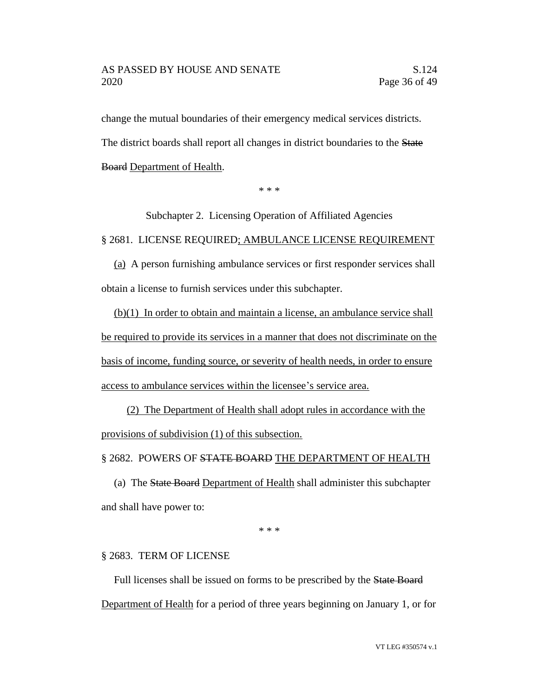#### AS PASSED BY HOUSE AND SENATE S.124 2020 Page 36 of 49

change the mutual boundaries of their emergency medical services districts. The district boards shall report all changes in district boundaries to the State Board Department of Health.

\* \* \*

Subchapter 2. Licensing Operation of Affiliated Agencies

#### § 2681. LICENSE REQUIRED; AMBULANCE LICENSE REQUIREMENT

(a) A person furnishing ambulance services or first responder services shall obtain a license to furnish services under this subchapter.

(b)(1) In order to obtain and maintain a license, an ambulance service shall be required to provide its services in a manner that does not discriminate on the basis of income, funding source, or severity of health needs, in order to ensure access to ambulance services within the licensee's service area.

(2) The Department of Health shall adopt rules in accordance with the provisions of subdivision (1) of this subsection.

#### § 2682. POWERS OF STATE BOARD THE DEPARTMENT OF HEALTH

(a) The State Board Department of Health shall administer this subchapter and shall have power to:

\* \* \*

#### § 2683. TERM OF LICENSE

Full licenses shall be issued on forms to be prescribed by the State Board Department of Health for a period of three years beginning on January 1, or for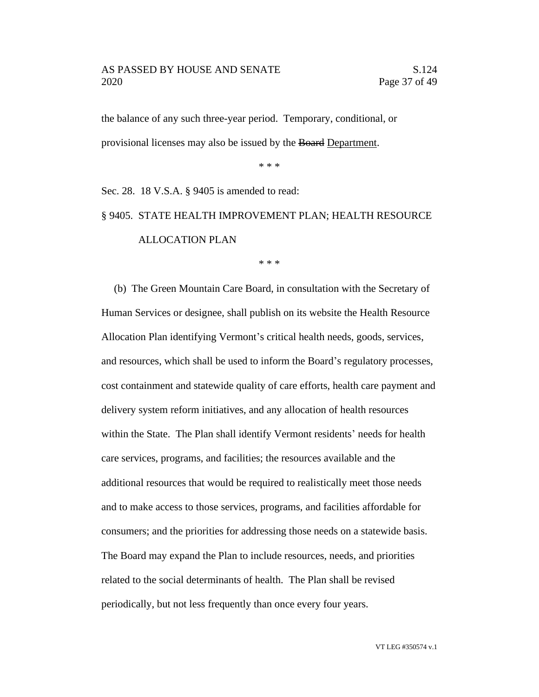#### AS PASSED BY HOUSE AND SENATE S.124 2020 Page 37 of 49

the balance of any such three-year period. Temporary, conditional, or provisional licenses may also be issued by the Board Department.

\* \* \*

Sec. 28. 18 V.S.A. § 9405 is amended to read:

# § 9405. STATE HEALTH IMPROVEMENT PLAN; HEALTH RESOURCE ALLOCATION PLAN

\* \* \*

(b) The Green Mountain Care Board, in consultation with the Secretary of Human Services or designee, shall publish on its website the Health Resource Allocation Plan identifying Vermont's critical health needs, goods, services, and resources, which shall be used to inform the Board's regulatory processes, cost containment and statewide quality of care efforts, health care payment and delivery system reform initiatives, and any allocation of health resources within the State. The Plan shall identify Vermont residents' needs for health care services, programs, and facilities; the resources available and the additional resources that would be required to realistically meet those needs and to make access to those services, programs, and facilities affordable for consumers; and the priorities for addressing those needs on a statewide basis. The Board may expand the Plan to include resources, needs, and priorities related to the social determinants of health. The Plan shall be revised periodically, but not less frequently than once every four years.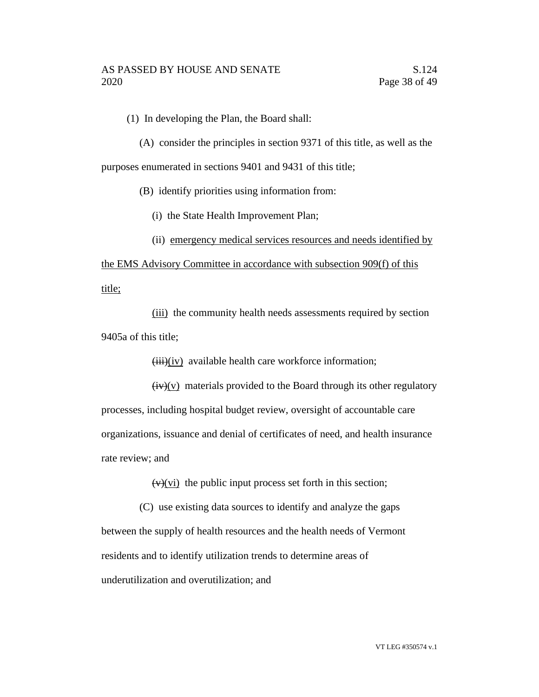(1) In developing the Plan, the Board shall:

(A) consider the principles in section 9371 of this title, as well as the purposes enumerated in sections 9401 and 9431 of this title;

(B) identify priorities using information from:

(i) the State Health Improvement Plan;

(ii) emergency medical services resources and needs identified by

the EMS Advisory Committee in accordance with subsection 909(f) of this title;

(iii) the community health needs assessments required by section 9405a of this title;

 $(iii)(iv)$  available health care workforce information;

 $(iv)(v)$  materials provided to the Board through its other regulatory processes, including hospital budget review, oversight of accountable care organizations, issuance and denial of certificates of need, and health insurance rate review; and

 $(v)(vi)$  the public input process set forth in this section;

(C) use existing data sources to identify and analyze the gaps between the supply of health resources and the health needs of Vermont residents and to identify utilization trends to determine areas of underutilization and overutilization; and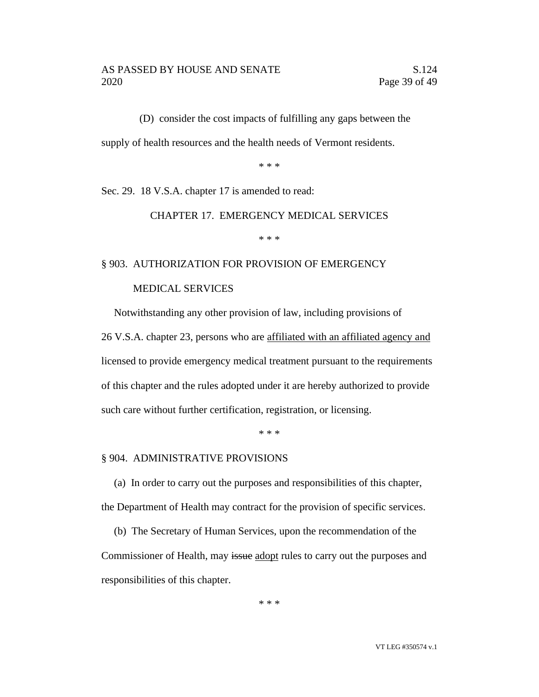(D) consider the cost impacts of fulfilling any gaps between the supply of health resources and the health needs of Vermont residents.

\* \* \*

Sec. 29. 18 V.S.A. chapter 17 is amended to read:

#### CHAPTER 17. EMERGENCY MEDICAL SERVICES

\* \* \*

# § 903. AUTHORIZATION FOR PROVISION OF EMERGENCY

# MEDICAL SERVICES

Notwithstanding any other provision of law, including provisions of 26 V.S.A. chapter 23, persons who are affiliated with an affiliated agency and licensed to provide emergency medical treatment pursuant to the requirements

of this chapter and the rules adopted under it are hereby authorized to provide such care without further certification, registration, or licensing.

\* \* \*

#### § 904. ADMINISTRATIVE PROVISIONS

(a) In order to carry out the purposes and responsibilities of this chapter, the Department of Health may contract for the provision of specific services.

(b) The Secretary of Human Services, upon the recommendation of the Commissioner of Health, may issue adopt rules to carry out the purposes and responsibilities of this chapter.

\* \* \*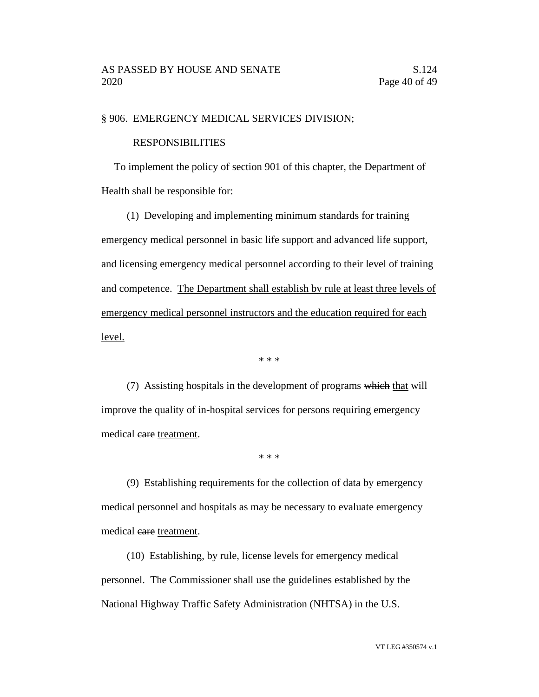#### § 906. EMERGENCY MEDICAL SERVICES DIVISION;

#### RESPONSIBILITIES

To implement the policy of section 901 of this chapter, the Department of Health shall be responsible for:

(1) Developing and implementing minimum standards for training emergency medical personnel in basic life support and advanced life support, and licensing emergency medical personnel according to their level of training and competence. The Department shall establish by rule at least three levels of emergency medical personnel instructors and the education required for each level.

\* \* \*

(7) Assisting hospitals in the development of programs which that will improve the quality of in-hospital services for persons requiring emergency medical eare treatment.

\* \* \*

(9) Establishing requirements for the collection of data by emergency medical personnel and hospitals as may be necessary to evaluate emergency medical eare treatment.

(10) Establishing, by rule, license levels for emergency medical personnel. The Commissioner shall use the guidelines established by the National Highway Traffic Safety Administration (NHTSA) in the U.S.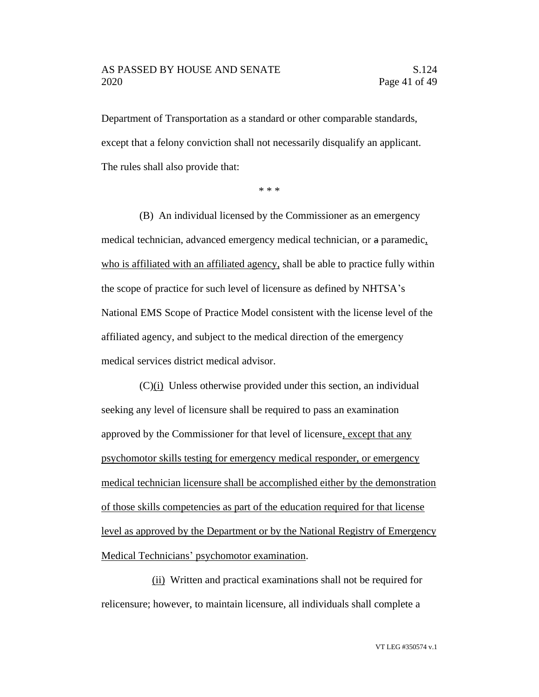#### AS PASSED BY HOUSE AND SENATE S.124 2020 Page 41 of 49

Department of Transportation as a standard or other comparable standards, except that a felony conviction shall not necessarily disqualify an applicant. The rules shall also provide that:

\* \* \*

(B) An individual licensed by the Commissioner as an emergency medical technician, advanced emergency medical technician, or a paramedic, who is affiliated with an affiliated agency, shall be able to practice fully within the scope of practice for such level of licensure as defined by NHTSA's National EMS Scope of Practice Model consistent with the license level of the affiliated agency, and subject to the medical direction of the emergency medical services district medical advisor.

(C)(i) Unless otherwise provided under this section, an individual seeking any level of licensure shall be required to pass an examination approved by the Commissioner for that level of licensure, except that any psychomotor skills testing for emergency medical responder, or emergency medical technician licensure shall be accomplished either by the demonstration of those skills competencies as part of the education required for that license level as approved by the Department or by the National Registry of Emergency Medical Technicians' psychomotor examination.

(ii) Written and practical examinations shall not be required for relicensure; however, to maintain licensure, all individuals shall complete a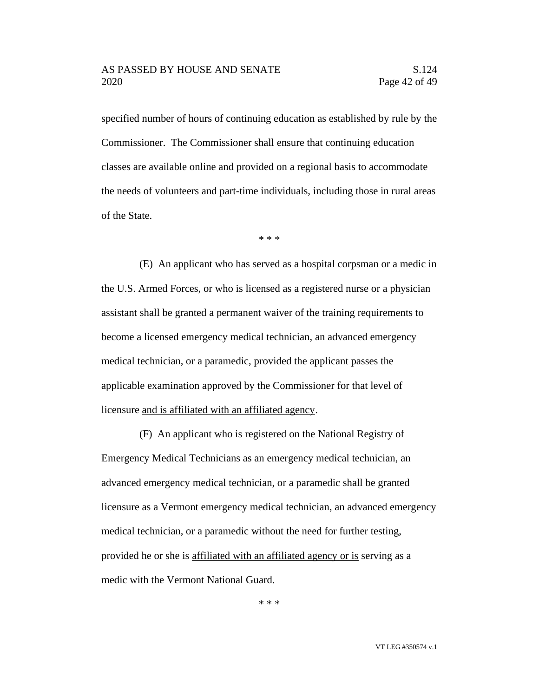specified number of hours of continuing education as established by rule by the Commissioner. The Commissioner shall ensure that continuing education classes are available online and provided on a regional basis to accommodate the needs of volunteers and part-time individuals, including those in rural areas of the State.

\* \* \*

(E) An applicant who has served as a hospital corpsman or a medic in the U.S. Armed Forces, or who is licensed as a registered nurse or a physician assistant shall be granted a permanent waiver of the training requirements to become a licensed emergency medical technician, an advanced emergency medical technician, or a paramedic, provided the applicant passes the applicable examination approved by the Commissioner for that level of licensure and is affiliated with an affiliated agency.

(F) An applicant who is registered on the National Registry of Emergency Medical Technicians as an emergency medical technician, an advanced emergency medical technician, or a paramedic shall be granted licensure as a Vermont emergency medical technician, an advanced emergency medical technician, or a paramedic without the need for further testing, provided he or she is affiliated with an affiliated agency or is serving as a medic with the Vermont National Guard.

\* \* \*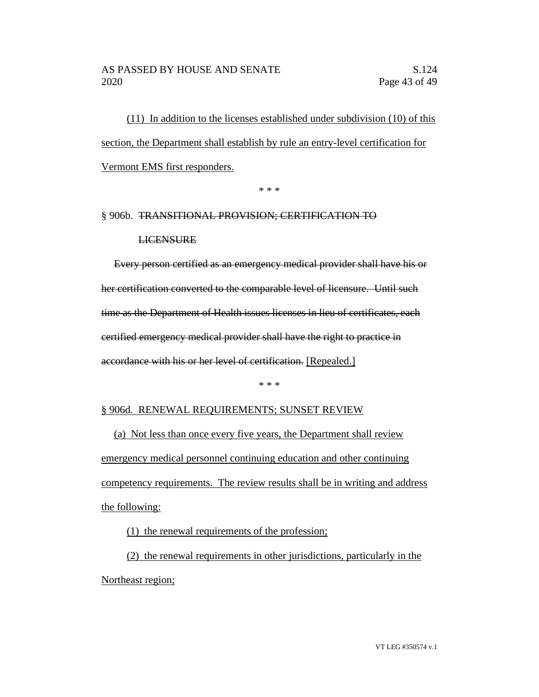(11) In addition to the licenses established under subdivision (10) of this section, the Department shall establish by rule an entry-level certification for Vermont EMS first responders.

\* \* \*

# § 906b. TRANSITIONAL PROVISION; CERTIFICATION TO

#### **LICENSURE**

Every person certified as an emergency medical provider shall have his or her certification converted to the comparable level of licensure. Until such time as the Department of Health issues licenses in lieu of certificates, each certified emergency medical provider shall have the right to practice in accordance with his or her level of certification. [Repealed.]

\* \* \*

#### § 906d. RENEWAL REQUIREMENTS; SUNSET REVIEW

(a) Not less than once every five years, the Department shall review emergency medical personnel continuing education and other continuing competency requirements. The review results shall be in writing and address the following:

(1) the renewal requirements of the profession;

(2) the renewal requirements in other jurisdictions, particularly in the Northeast region;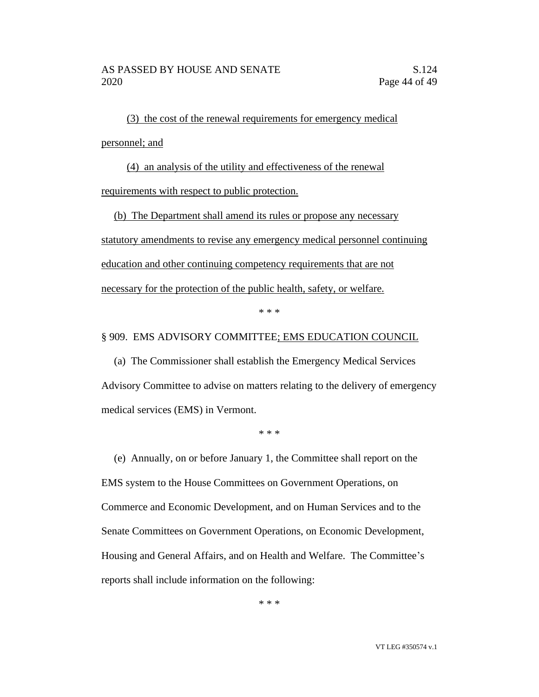(3) the cost of the renewal requirements for emergency medical personnel; and

(4) an analysis of the utility and effectiveness of the renewal requirements with respect to public protection.

(b) The Department shall amend its rules or propose any necessary statutory amendments to revise any emergency medical personnel continuing education and other continuing competency requirements that are not necessary for the protection of the public health, safety, or welfare.

\* \* \*

#### § 909. EMS ADVISORY COMMITTEE; EMS EDUCATION COUNCIL

(a) The Commissioner shall establish the Emergency Medical Services Advisory Committee to advise on matters relating to the delivery of emergency medical services (EMS) in Vermont.

\* \* \*

(e) Annually, on or before January 1, the Committee shall report on the EMS system to the House Committees on Government Operations, on Commerce and Economic Development, and on Human Services and to the Senate Committees on Government Operations, on Economic Development, Housing and General Affairs, and on Health and Welfare. The Committee's reports shall include information on the following:

\* \* \*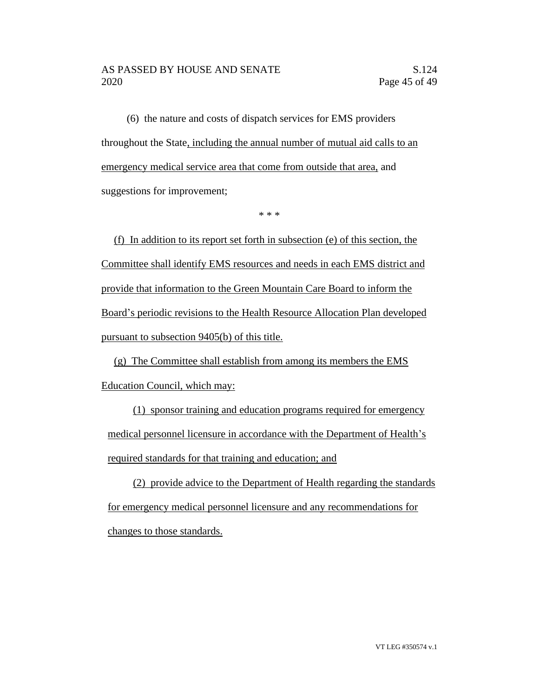(6) the nature and costs of dispatch services for EMS providers throughout the State, including the annual number of mutual aid calls to an emergency medical service area that come from outside that area, and suggestions for improvement;

\* \* \*

(f) In addition to its report set forth in subsection (e) of this section, the Committee shall identify EMS resources and needs in each EMS district and provide that information to the Green Mountain Care Board to inform the Board's periodic revisions to the Health Resource Allocation Plan developed pursuant to subsection 9405(b) of this title.

(g) The Committee shall establish from among its members the EMS Education Council, which may:

(1) sponsor training and education programs required for emergency medical personnel licensure in accordance with the Department of Health's required standards for that training and education; and

(2) provide advice to the Department of Health regarding the standards for emergency medical personnel licensure and any recommendations for changes to those standards.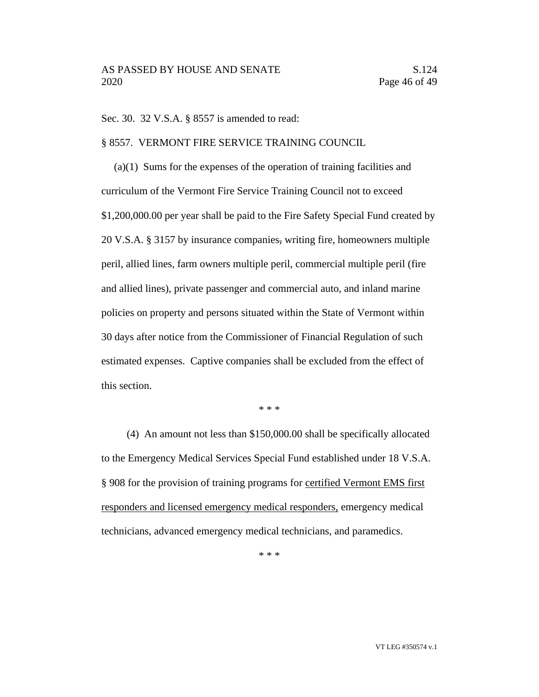Sec. 30. 32 V.S.A. § 8557 is amended to read:

§ 8557. VERMONT FIRE SERVICE TRAINING COUNCIL

(a)(1) Sums for the expenses of the operation of training facilities and curriculum of the Vermont Fire Service Training Council not to exceed \$1,200,000.00 per year shall be paid to the Fire Safety Special Fund created by 20 V.S.A. § 3157 by insurance companies, writing fire, homeowners multiple peril, allied lines, farm owners multiple peril, commercial multiple peril (fire and allied lines), private passenger and commercial auto, and inland marine policies on property and persons situated within the State of Vermont within 30 days after notice from the Commissioner of Financial Regulation of such estimated expenses. Captive companies shall be excluded from the effect of this section.

\* \* \*

(4) An amount not less than \$150,000.00 shall be specifically allocated to the Emergency Medical Services Special Fund established under 18 V.S.A. § 908 for the provision of training programs for certified Vermont EMS first responders and licensed emergency medical responders, emergency medical technicians, advanced emergency medical technicians, and paramedics.

\* \* \*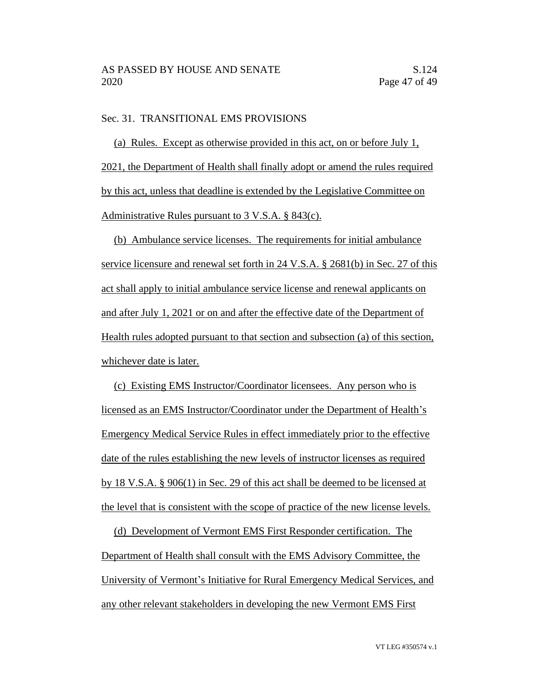## Sec. 31. TRANSITIONAL EMS PROVISIONS

(a) Rules. Except as otherwise provided in this act, on or before July 1, 2021, the Department of Health shall finally adopt or amend the rules required by this act, unless that deadline is extended by the Legislative Committee on Administrative Rules pursuant to 3 V.S.A. § 843(c).

(b) Ambulance service licenses. The requirements for initial ambulance service licensure and renewal set forth in 24 V.S.A. § 2681(b) in Sec. 27 of this act shall apply to initial ambulance service license and renewal applicants on and after July 1, 2021 or on and after the effective date of the Department of Health rules adopted pursuant to that section and subsection (a) of this section, whichever date is later.

(c) Existing EMS Instructor/Coordinator licensees. Any person who is licensed as an EMS Instructor/Coordinator under the Department of Health's Emergency Medical Service Rules in effect immediately prior to the effective date of the rules establishing the new levels of instructor licenses as required by 18 V.S.A. § 906(1) in Sec. 29 of this act shall be deemed to be licensed at the level that is consistent with the scope of practice of the new license levels.

(d) Development of Vermont EMS First Responder certification. The Department of Health shall consult with the EMS Advisory Committee, the University of Vermont's Initiative for Rural Emergency Medical Services, and any other relevant stakeholders in developing the new Vermont EMS First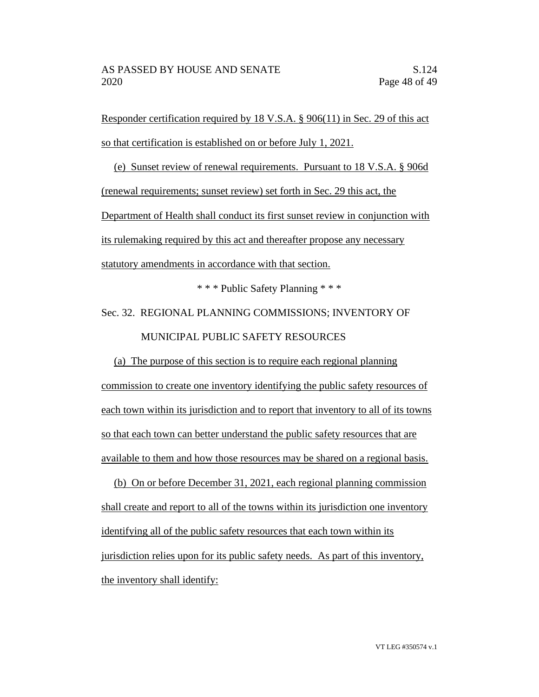Responder certification required by 18 V.S.A. § 906(11) in Sec. 29 of this act so that certification is established on or before July 1, 2021.

(e) Sunset review of renewal requirements. Pursuant to 18 V.S.A. § 906d (renewal requirements; sunset review) set forth in Sec. 29 this act, the Department of Health shall conduct its first sunset review in conjunction with its rulemaking required by this act and thereafter propose any necessary statutory amendments in accordance with that section.

\* \* \* Public Safety Planning \* \* \*

Sec. 32. REGIONAL PLANNING COMMISSIONS; INVENTORY OF

# MUNICIPAL PUBLIC SAFETY RESOURCES

(a) The purpose of this section is to require each regional planning commission to create one inventory identifying the public safety resources of each town within its jurisdiction and to report that inventory to all of its towns so that each town can better understand the public safety resources that are available to them and how those resources may be shared on a regional basis.

(b) On or before December 31, 2021, each regional planning commission shall create and report to all of the towns within its jurisdiction one inventory identifying all of the public safety resources that each town within its jurisdiction relies upon for its public safety needs. As part of this inventory, the inventory shall identify: